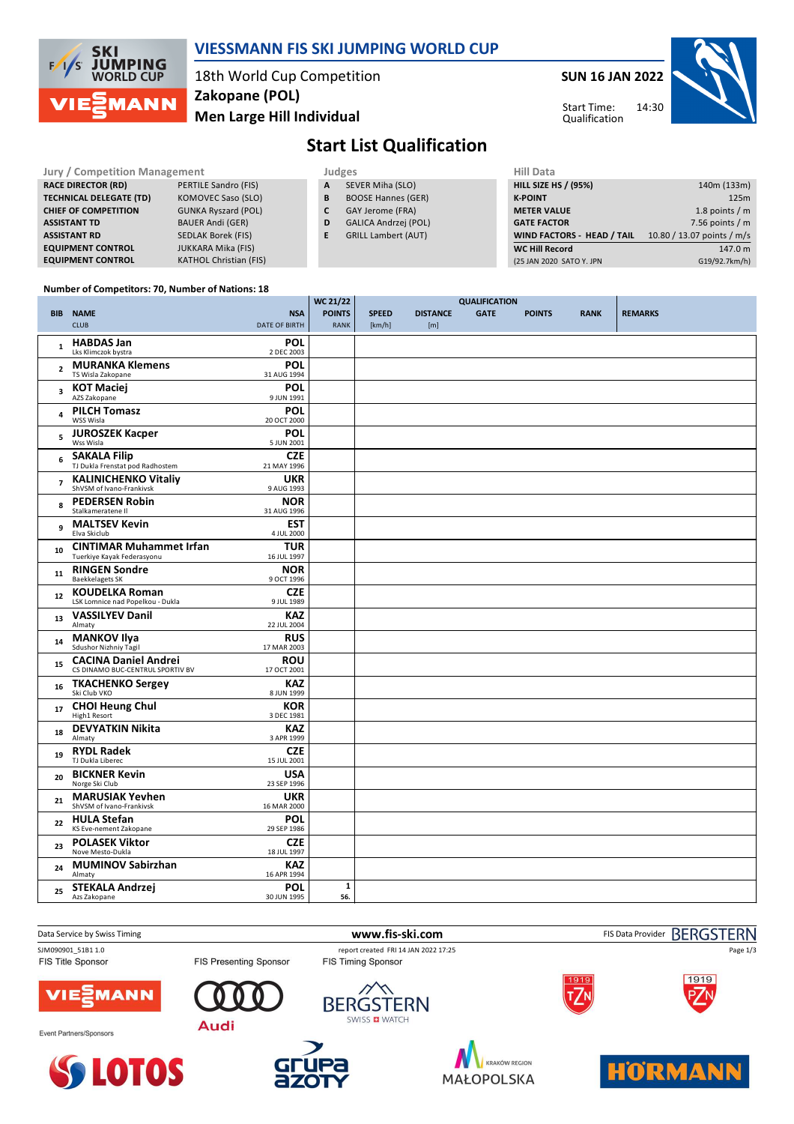

### **VIESSMANN FIS SKI JUMPING WORLD CUP**

18th World Cup Competition **Men Large Hill Individual Zakopane (POL)**

**SUN 16 JAN 2022**

Start Time: Qualification



**Start List Qualification**

| Jury / Competition Management  |                               |   | <b>Judges</b>               | Hill Data                   |                            |  |  |
|--------------------------------|-------------------------------|---|-----------------------------|-----------------------------|----------------------------|--|--|
| <b>RACE DIRECTOR (RD)</b>      | PERTILE Sandro (FIS)          | A | SEVER Miha (SLO)            | <b>HILL SIZE HS / (95%)</b> | 140m (133m)                |  |  |
| <b>TECHNICAL DELEGATE (TD)</b> | KOMOVEC Saso (SLO)            | В | <b>BOOSE Hannes (GER)</b>   | <b>K-POINT</b>              | 125m                       |  |  |
| <b>CHIEF OF COMPETITION</b>    | <b>GUNKA Ryszard (POL)</b>    |   | GAY Jerome (FRA)            | <b>METER VALUE</b>          | 1.8 points $/m$            |  |  |
| <b>ASSISTANT TD</b>            | <b>BAUER Andi (GER)</b>       | D | <b>GALICA Andrzej (POL)</b> | <b>GATE FACTOR</b>          | 7.56 points $/m$           |  |  |
| <b>ASSISTANT RD</b>            | SEDLAK Borek (FIS)            |   | <b>GRILL Lambert (AUT)</b>  | WIND FACTORS - HEAD / TAIL  | 10.80 / 13.07 points / m/s |  |  |
| <b>EQUIPMENT CONTROL</b>       | <b>JUKKARA Mika (FIS)</b>     |   |                             | <b>WC Hill Record</b>       | 147.0 m                    |  |  |
| <b>EQUIPMENT CONTROL</b>       | <b>KATHOL Christian (FIS)</b> |   |                             | (25 JAN 2020 SATO Y. JPN    | G19/92.7km/h)              |  |  |
|                                |                               |   |                             |                             |                            |  |  |

#### **Number of Competitors: 70, Number of Nations: 18**

|                |                                                                 |                                    | <b>WC 21/22</b>              | <b>QUALIFICATION</b>   |                        |             |               |             |                |
|----------------|-----------------------------------------------------------------|------------------------------------|------------------------------|------------------------|------------------------|-------------|---------------|-------------|----------------|
| <b>BIB</b>     | <b>NAME</b><br><b>CLUB</b>                                      | <b>NSA</b><br><b>DATE OF BIRTH</b> | <b>POINTS</b><br><b>RANK</b> | <b>SPEED</b><br>[km/h] | <b>DISTANCE</b><br>[m] | <b>GATE</b> | <b>POINTS</b> | <b>RANK</b> | <b>REMARKS</b> |
| $\mathbf{1}$   | <b>HABDAS Jan</b><br>Lks Klimczok bystra                        | POL<br>2 DEC 2003                  |                              |                        |                        |             |               |             |                |
| $\overline{2}$ | <b>MURANKA Klemens</b><br>TS Wisla Zakopane                     | <b>POL</b><br>31 AUG 1994          |                              |                        |                        |             |               |             |                |
| 3              | <b>KOT Maciej</b><br>AZS Zakopane                               | <b>POL</b><br>9 JUN 1991           |                              |                        |                        |             |               |             |                |
| 4              | <b>PILCH Tomasz</b><br>WSS Wisla                                | POL<br>20 OCT 2000                 |                              |                        |                        |             |               |             |                |
| 5              | <b>JUROSZEK Kacper</b><br>Wss Wisla                             | POL<br>5 JUN 2001                  |                              |                        |                        |             |               |             |                |
| 6              | <b>SAKALA Filip</b><br>TJ Dukla Frenstat pod Radhostem          | <b>CZE</b><br>21 MAY 1996          |                              |                        |                        |             |               |             |                |
| $\overline{7}$ | <b>KALINICHENKO Vitaliy</b><br>ShVSM of Ivano-Frankivsk         | <b>UKR</b><br>9 AUG 1993           |                              |                        |                        |             |               |             |                |
| 8              | <b>PEDERSEN Robin</b><br>Stalkameratene II                      | <b>NOR</b><br>31 AUG 1996          |                              |                        |                        |             |               |             |                |
| 9              | <b>MALTSEV Kevin</b><br>Elva Skiclub                            | <b>EST</b><br>4 JUL 2000           |                              |                        |                        |             |               |             |                |
| 10             | <b>CINTIMAR Muhammet Irfan</b><br>Tuerkiye Kayak Federasyonu    | TUR<br>16 JUL 1997                 |                              |                        |                        |             |               |             |                |
| 11             | <b>RINGEN Sondre</b><br><b>Baekkelagets SK</b>                  | <b>NOR</b><br>9 OCT 1996           |                              |                        |                        |             |               |             |                |
| 12             | <b>KOUDELKA Roman</b><br>LSK Lomnice nad Popelkou - Dukla       | <b>CZE</b><br>9 JUL 1989           |                              |                        |                        |             |               |             |                |
| 13             | <b>VASSILYEV Danil</b><br>Almaty                                | KAZ<br>22 JUL 2004                 |                              |                        |                        |             |               |             |                |
| 14             | <b>MANKOV IIva</b><br>Sdushor Nizhniy Tagil                     | <b>RUS</b><br>17 MAR 2003          |                              |                        |                        |             |               |             |                |
| 15             | <b>CACINA Daniel Andrei</b><br>CS DINAMO BUC-CENTRUL SPORTIV BV | ROU<br>17 OCT 2001                 |                              |                        |                        |             |               |             |                |
| 16             | <b>TKACHENKO Sergey</b><br>Ski Club VKO                         | <b>KAZ</b><br>8 JUN 1999           |                              |                        |                        |             |               |             |                |
| 17             | <b>CHOI Heung Chul</b><br>High1 Resort                          | <b>KOR</b><br>3 DEC 1981           |                              |                        |                        |             |               |             |                |
| 18             | <b>DEVYATKIN Nikita</b><br>Almaty                               | <b>KAZ</b><br>3 APR 1999           |                              |                        |                        |             |               |             |                |
| 19             | <b>RYDL Radek</b><br>TJ Dukla Liberec                           | <b>CZE</b><br>15 JUL 2001          |                              |                        |                        |             |               |             |                |
| 20             | <b>BICKNER Kevin</b><br>Norge Ski Club                          | <b>USA</b><br>23 SEP 1996          |                              |                        |                        |             |               |             |                |
| 21             | <b>MARUSIAK Yevhen</b><br>ShVSM of Ivano-Frankivsk              | <b>UKR</b><br>16 MAR 2000          |                              |                        |                        |             |               |             |                |
| 22             | <b>HULA Stefan</b><br>KS Eve-nement Zakopane                    | <b>POL</b><br>29 SEP 1986          |                              |                        |                        |             |               |             |                |
| 23             | <b>POLASEK Viktor</b><br>Nove Mesto-Dukla                       | <b>CZE</b><br>18 JUL 1997          |                              |                        |                        |             |               |             |                |
| 24             | <b>MUMINOV Sabirzhan</b><br>Almaty                              | KAZ<br>16 APR 1994                 |                              |                        |                        |             |               |             |                |
| 25             | <b>STEKALA Andrzej</b><br>Azs Zakopane                          | POL<br>30 JUN 1995                 | $\mathbf{1}$<br>56.          |                        |                        |             |               |             |                |



MAŁOPOLSKA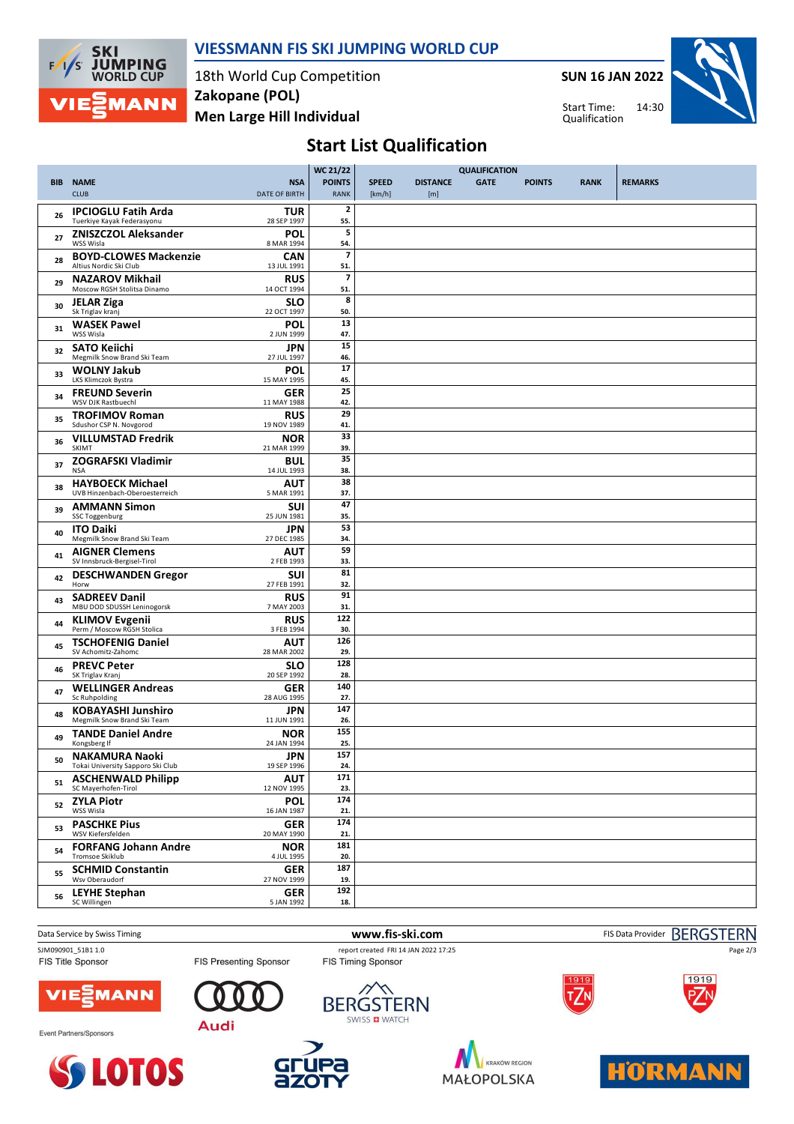

### **VIESSMANN FIS SKI JUMPING WORLD CUP**

18th World Cup Competition **Men Large Hill Individual Zakopane (POL)**

**SUN 16 JAN 2022**



14:30 Start Time: Qualification

# **Start List Qualification**

|            |                                                            |                           | <b>WC 21/22</b>                 | <b>QUALIFICATION</b> |                 |             |               |             |                |
|------------|------------------------------------------------------------|---------------------------|---------------------------------|----------------------|-----------------|-------------|---------------|-------------|----------------|
| <b>BIB</b> | <b>NAME</b>                                                | <b>NSA</b>                | <b>POINTS</b>                   | <b>SPEED</b>         | <b>DISTANCE</b> | <b>GATE</b> | <b>POINTS</b> | <b>RANK</b> | <b>REMARKS</b> |
|            | <b>CLUB</b>                                                | <b>DATE OF BIRTH</b>      | RANK                            | [km/h]               | [m]             |             |               |             |                |
| 26         | <b>IPCIOGLU Fatih Arda</b><br>Tuerkiye Kayak Federasyonu   | <b>TUR</b><br>28 SEP 1997 | $\overline{\mathbf{2}}$<br>55.  |                      |                 |             |               |             |                |
| 27         | <b>ZNISZCZOL Aleksander</b><br>WSS Wisla                   | <b>POL</b><br>8 MAR 1994  | 5<br>54.                        |                      |                 |             |               |             |                |
| 28         | <b>BOYD-CLOWES Mackenzie</b><br>Altius Nordic Ski Club     | <b>CAN</b><br>13 JUL 1991 | $\overline{\phantom{a}}$<br>51. |                      |                 |             |               |             |                |
| 29         | <b>NAZAROV Mikhail</b><br>Moscow RGSH Stolitsa Dinamo      | <b>RUS</b><br>14 OCT 1994 | $\overline{\mathbf{z}}$<br>51.  |                      |                 |             |               |             |                |
| 30         | <b>JELAR Ziga</b><br>Sk Triglav kranj                      | SLO<br>22 OCT 1997        | 8<br>50.                        |                      |                 |             |               |             |                |
| 31         | <b>WASEK Pawel</b><br>WSS Wisla                            | <b>POL</b><br>2 JUN 1999  | 13<br>47.                       |                      |                 |             |               |             |                |
| 32         | <b>SATO Keiichi</b><br>Megmilk Snow Brand Ski Team         | JPN<br>27 JUL 1997        | 15<br>46.                       |                      |                 |             |               |             |                |
| 33         | <b>WOLNY Jakub</b><br>LKS Klimczok Bystra                  | <b>POL</b><br>15 MAY 1995 | 17<br>45.                       |                      |                 |             |               |             |                |
| 34         | <b>FREUND Severin</b><br>WSV DJK Rastbuechl                | <b>GER</b><br>11 MAY 1988 | 25<br>42.                       |                      |                 |             |               |             |                |
| 35         | <b>TROFIMOV Roman</b><br>Sdushor CSP N. Novgorod           | <b>RUS</b><br>19 NOV 1989 | 29<br>41.                       |                      |                 |             |               |             |                |
| 36         | <b>VILLUMSTAD Fredrik</b><br><b>SKIMT</b>                  | <b>NOR</b><br>21 MAR 1999 | 33<br>39.                       |                      |                 |             |               |             |                |
| 37         | <b>ZOGRAFSKI Vladimir</b><br><b>NSA</b>                    | <b>BUL</b><br>14 JUL 1993 | 35<br>38.                       |                      |                 |             |               |             |                |
| 38         | <b>HAYBOECK Michael</b><br>UVB Hinzenbach-Oberoesterreich  | <b>AUT</b><br>5 MAR 1991  | 38<br>37.                       |                      |                 |             |               |             |                |
| 39         | <b>AMMANN Simon</b><br>SSC Toggenburg                      | <b>SUI</b><br>25 JUN 1981 | 47<br>35.                       |                      |                 |             |               |             |                |
| 40         | <b>ITO Daiki</b><br>Megmilk Snow Brand Ski Team            | <b>JPN</b><br>27 DEC 1985 | 53<br>34.                       |                      |                 |             |               |             |                |
| 41         | <b>AIGNER Clemens</b><br>SV Innsbruck-Bergisel-Tirol       | AUT<br>2 FEB 1993         | 59<br>33.                       |                      |                 |             |               |             |                |
| 42         | <b>DESCHWANDEN Gregor</b><br>Horw                          | SUI<br>27 FEB 1991        | 81<br>32.                       |                      |                 |             |               |             |                |
| 43         | <b>SADREEV Danil</b><br>MBU DOD SDUSSH Leninogorsk         | <b>RUS</b><br>7 MAY 2003  | 91<br>31.                       |                      |                 |             |               |             |                |
| 44         | <b>KLIMOV Evgenii</b><br>Perm / Moscow RGSH Stolica        | <b>RUS</b><br>3 FEB 1994  | 122<br>30.                      |                      |                 |             |               |             |                |
| 45         | <b>TSCHOFENIG Daniel</b><br>SV Achomitz-Zahomc             | <b>AUT</b><br>28 MAR 2002 | 126<br>29.                      |                      |                 |             |               |             |                |
| 46         | <b>PREVC Peter</b><br>SK Triglav Kranj                     | <b>SLO</b><br>20 SEP 1992 | 128<br>28.                      |                      |                 |             |               |             |                |
| 47         | <b>WELLINGER Andreas</b><br>Sc Ruhpolding                  | <b>GER</b><br>28 AUG 1995 | 140<br>27.                      |                      |                 |             |               |             |                |
| 48         | <b>KOBAYASHI Junshiro</b><br>Megmilk Snow Brand Ski Team   | JPN<br>11 JUN 1991        | 147<br>26.                      |                      |                 |             |               |             |                |
| 49         | <b>TANDE Daniel Andre</b><br>Kongsberg If                  | <b>NOR</b><br>24 JAN 1994 | 155<br>25.                      |                      |                 |             |               |             |                |
| 50         | <b>NAKAMURA Naoki</b><br>Tokai University Sapporo Ski Club | <b>JPN</b><br>19 SEP 1996 | 157<br>24.                      |                      |                 |             |               |             |                |
| 51         | <b>ASCHENWALD Philipp</b><br>SC Mayerhofen-Tirol           | <b>AUT</b><br>12 NOV 1995 | 171<br>23.                      |                      |                 |             |               |             |                |
| 52         | <b>ZYLA Piotr</b><br>WSS Wisla                             | <b>POL</b><br>16 JAN 1987 | 174<br>21.                      |                      |                 |             |               |             |                |
| 53         | <b>PASCHKE Pius</b><br>WSV Kiefersfelden                   | <b>GER</b><br>20 MAY 1990 | 174<br>21.                      |                      |                 |             |               |             |                |
| 54         | <b>FORFANG Johann Andre</b><br><b>Tromsoe Skiklub</b>      | <b>NOR</b><br>4 JUL 1995  | 181<br>20.                      |                      |                 |             |               |             |                |
| 55         | <b>SCHMID Constantin</b><br>Wsv Oberaudorf                 | <b>GER</b><br>27 NOV 1999 | 187<br>19.                      |                      |                 |             |               |             |                |
| 56         | <b>LEYHE Stephan</b><br>SC Willingen                       | <b>GER</b><br>5 JAN 1992  | 192<br>18.                      |                      |                 |             |               |             |                |
|            |                                                            |                           |                                 |                      |                 |             |               |             |                |

Data Service by Swiss Timing **WWW.fis-ski.com www.fis-ski.com** FIS Data Provider BERGSTERN SJM090901\_51B1 1.0 report created FRI 14 JAN 2022 17:25<br>FIS Title Sponsor FIS Tessenting Sponsor FIS Timing Sponsor Page 2/3FIS Presenting Sponsor 1919 **MANN** /IE **BERGSTERN** SWISS **D** WATCH Audi Event Partners/Sponsors